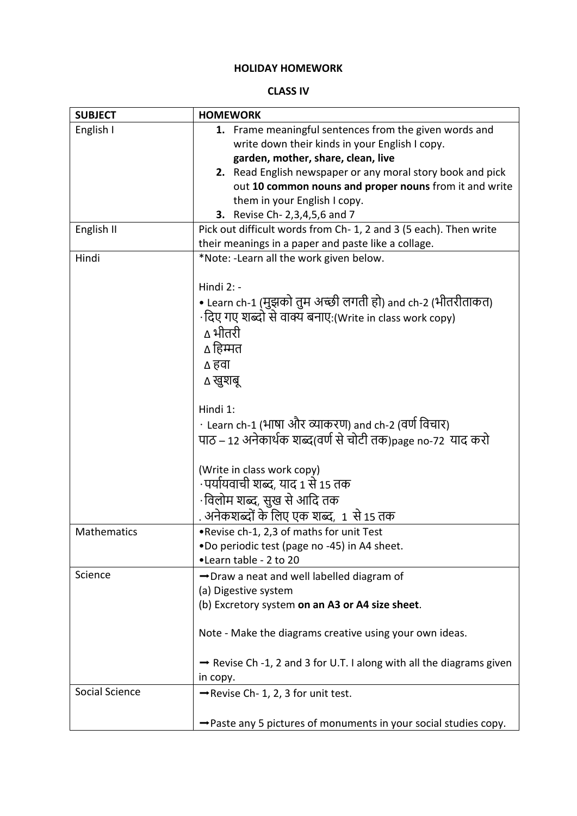## **HOLIDAY HOMEWORK**

## **CLASS IV**

| <b>SUBJECT</b> | <b>HOMEWORK</b>                                                              |
|----------------|------------------------------------------------------------------------------|
| English I      | 1. Frame meaningful sentences from the given words and                       |
|                | write down their kinds in your English I copy.                               |
|                | garden, mother, share, clean, live                                           |
|                | 2. Read English newspaper or any moral story book and pick                   |
|                | out 10 common nouns and proper nouns from it and write                       |
|                | them in your English I copy.                                                 |
|                | <b>3.</b> Revise Ch- 2,3,4,5,6 and 7                                         |
| English II     | Pick out difficult words from Ch-1, 2 and 3 (5 each). Then write             |
|                | their meanings in a paper and paste like a collage.                          |
| Hindi          | *Note: -Learn all the work given below.                                      |
|                | Hindi 2: -                                                                   |
|                | • Learn ch-1 (मुझको तुम अच्छी लगती हो) and ch-2 (भीतरीताकत)                  |
|                | ·दिए गए शब्दो से वाक्य बनाए:(Write in class work copy)                       |
|                | ∆ भीतरी                                                                      |
|                |                                                                              |
|                | ∆ हिम्मत                                                                     |
|                | ∆ हवा                                                                        |
|                | ∆ खुशबू                                                                      |
|                | Hindi 1:                                                                     |
|                | • Learn ch-1 (भाषा और व्याकरण) and ch-2 (वर्ण विचार)                         |
|                | पाठ – 12 अनेकार्थक शब्द(वर्ण से चोटी तक)page no-72  याद करो                  |
|                |                                                                              |
|                | (Write in class work copy)                                                   |
|                | ·पर्यायवाची शब्द, याद 1 से 15 तक                                             |
|                | •विलोम शब्द, सुख से आदि तक                                                   |
|                | . अनेकशब्दों के लिए एक शब्द, 1 से 15 तक                                      |
| Mathematics    | .Revise ch-1, 2,3 of maths for unit Test                                     |
|                | .Do periodic test (page no -45) in A4 sheet.                                 |
|                | •Learn table - 2 to 20                                                       |
| Science        | → Draw a neat and well labelled diagram of                                   |
|                | (a) Digestive system                                                         |
|                | (b) Excretory system on an A3 or A4 size sheet.                              |
|                |                                                                              |
|                | Note - Make the diagrams creative using your own ideas.                      |
|                |                                                                              |
|                | Revise Ch -1, 2 and 3 for U.T. I along with all the diagrams given           |
|                | in copy.                                                                     |
| Social Science | $\rightarrow$ Revise Ch- 1, 2, 3 for unit test.                              |
|                |                                                                              |
|                | $\rightarrow$ Paste any 5 pictures of monuments in your social studies copy. |